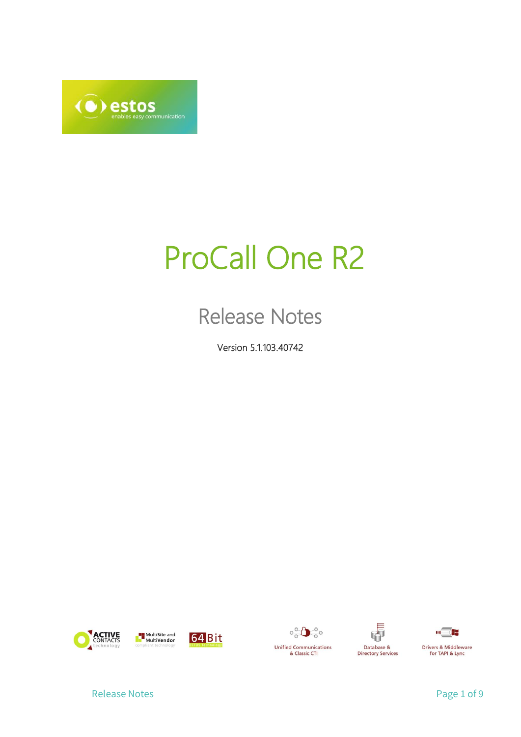

# ProCall One R2

## Release Notes

Version 5.1.103.40742











Release Notes **Page 1 of 9**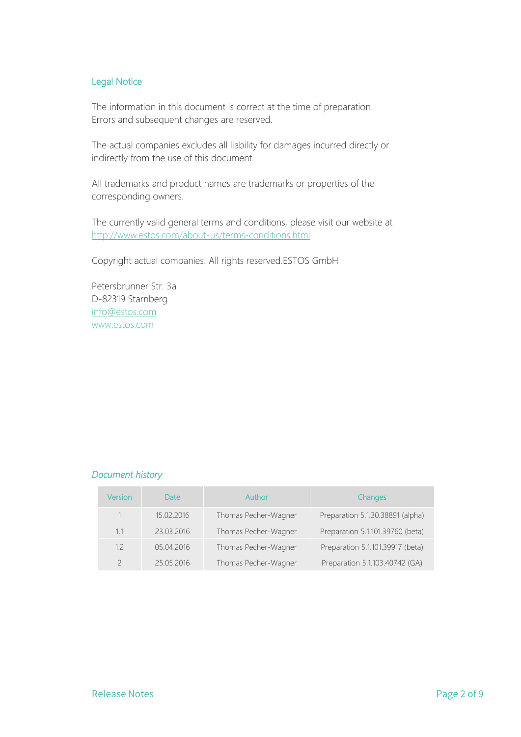#### Legal Notice

The information in this document is correct at the time of preparation. Errors and subsequent changes are reserved.

The actual companies excludes all liability for damages incurred directly or indirectly from the use of this document.

All trademarks and product names are trademarks or properties of the corresponding owners.

The currently valid general terms and conditions, please visit our website at <http://www.estos.com/about-us/terms-conditions.html>

Copyright actual companies. All rights reserved.ESTOS GmbH

Petersbrunner Str. 3a D-82319 Starnberg [info@estos.com](mailto:info@estos.com) [www.estos.com](http://www.estos.com/)

#### *Document history*

| Version | Date       | Author               | Changes                          |
|---------|------------|----------------------|----------------------------------|
|         | 15.02.2016 | Thomas Pecher-Wagner | Preparation 5.1.30.38891 (alpha) |
| 1.1     | 23.03.2016 | Thomas Pecher-Wagner | Preparation 5.1.101.39760 (beta) |
| 12      | 05.04.2016 | Thomas Pecher-Wagner | Preparation 5.1.101.39917 (beta) |
|         | 25.05.2016 | Thomas Pecher-Wagner | Preparation 5.1.103.40742 (GA)   |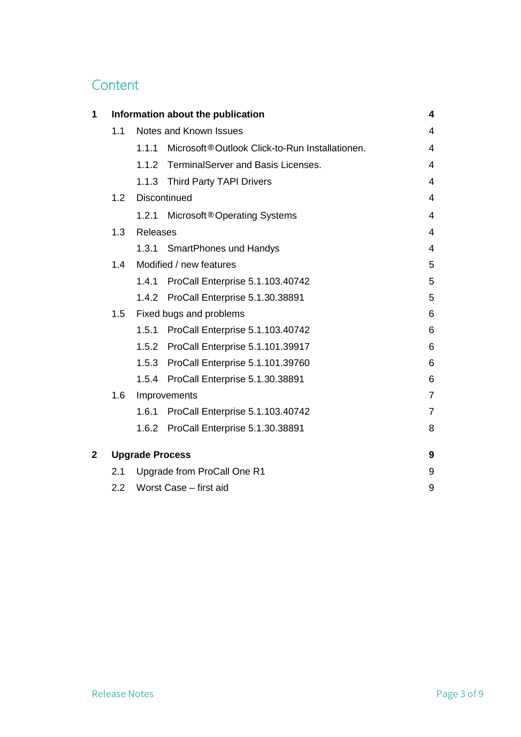## **Content**

| 1            | Information about the publication<br>4 |                        |                                                 |                          |
|--------------|----------------------------------------|------------------------|-------------------------------------------------|--------------------------|
|              | 1.1                                    |                        | Notes and Known Issues                          | 4                        |
|              |                                        | 1.1.1                  | Microsoft® Outlook Click-to-Run Installationen. | 4                        |
|              |                                        | 1.1.2                  | TerminalServer and Basis Licenses.              | 4                        |
|              |                                        | 1.1.3                  | <b>Third Party TAPI Drivers</b>                 | 4                        |
|              | 1.2                                    |                        | <b>Discontinued</b>                             | 4                        |
|              |                                        | 1.2.1                  | Microsoft <sup>®</sup> Operating Systems        | $\overline{4}$           |
|              | 1.3                                    | Releases               |                                                 | $\overline{\mathcal{L}}$ |
|              |                                        |                        | 1.3.1 SmartPhones und Handys                    | $\overline{4}$           |
|              | 1.4                                    |                        | Modified / new features                         | 5                        |
|              |                                        | 1.4.1                  | ProCall Enterprise 5.1.103.40742                | 5                        |
|              |                                        |                        | 1.4.2 ProCall Enterprise 5.1.30.38891           | 5                        |
|              | 1.5                                    |                        | Fixed bugs and problems                         | 6                        |
|              |                                        | 1.5.1                  | ProCall Enterprise 5.1.103.40742                | 6                        |
|              |                                        | 1.5.2                  | ProCall Enterprise 5.1.101.39917                | 6                        |
|              |                                        |                        | 1.5.3 ProCall Enterprise 5.1.101.39760          | 6                        |
|              |                                        | 1.5.4                  | ProCall Enterprise 5.1.30.38891                 | 6                        |
|              | 1.6                                    |                        | Improvements                                    | $\overline{7}$           |
|              |                                        | 1.6.1                  | ProCall Enterprise 5.1.103.40742                | $\overline{7}$           |
|              |                                        | 1.6.2                  | ProCall Enterprise 5.1.30.38891                 | 8                        |
| $\mathbf{2}$ |                                        | <b>Upgrade Process</b> |                                                 | 9                        |
|              | 2.1                                    |                        | Upgrade from ProCall One R1                     | 9                        |
|              | 2.2 <sub>2</sub>                       |                        | Worst Case - first aid                          | 9                        |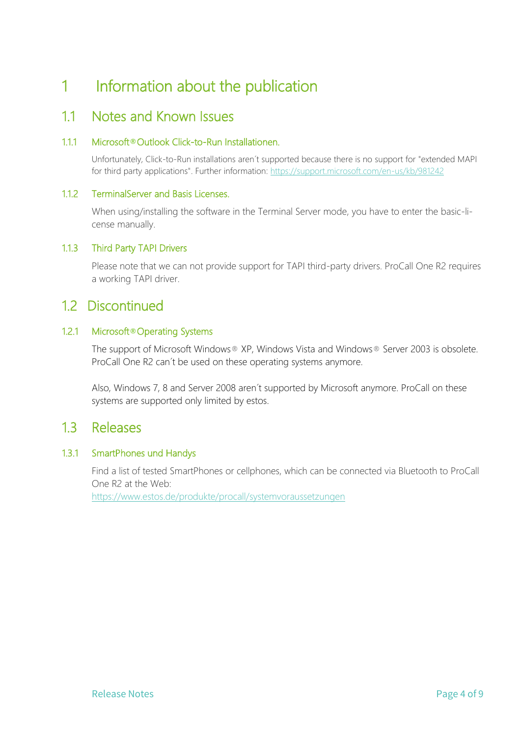## <span id="page-3-0"></span>1 Information about the publication

#### <span id="page-3-1"></span>11 Notes and Known Issues

#### <span id="page-3-2"></span>1.1.1 Microsoft**®**Outlook Click-to-Run Installationen.

Unfortunately, Click-to-Run installations aren´t supported because there is no support for "extended MAPI for third party applications". Further information:<https://support.microsoft.com/en-us/kb/981242>

#### <span id="page-3-3"></span>1.1.2 TerminalServer and Basis Licenses.

When using/installing the software in the Terminal Server mode, you have to enter the basic-license manually.

#### <span id="page-3-4"></span>1.1.3 Third Party TAPI Drivers

Please note that we can not provide support for TAPI third-party drivers. ProCall One R2 requires a working TAPI driver.

#### <span id="page-3-5"></span>1.2 Discontinued

#### <span id="page-3-6"></span>1.2.1 Microsoft**®**Operating Systems

The support of Microsoft Windows® XP, Windows Vista and Windows® Server 2003 is obsolete. ProCall One R2 can´t be used on these operating systems anymore.

Also, Windows 7, 8 and Server 2008 aren´t supported by Microsoft anymore. ProCall on these systems are supported only limited by estos.

#### <span id="page-3-7"></span>1.3 Releases

#### <span id="page-3-8"></span>1.3.1 SmartPhones und Handys

Find a list of tested SmartPhones or cellphones, which can be connected via Bluetooth to ProCall One R2 at the Web:

<https://www.estos.de/produkte/procall/systemvoraussetzungen>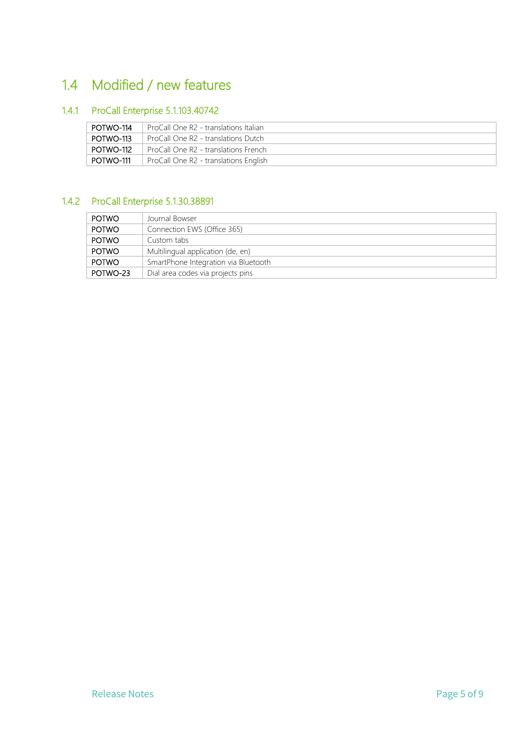## <span id="page-4-0"></span>1.4 Modified / new features

#### <span id="page-4-1"></span>1.4.1 ProCall Enterprise 5.1.103.40742

| POTWO-114 | <b>ProCall One R2 - translations Italian</b> |
|-----------|----------------------------------------------|
| POTWO-113 | ProCall One R2 - translations Dutch          |
| POTWO-112 | <b>ProCall One R2 - translations French</b>  |
| POTWO-111 | ProCall One R2 - translations English        |

#### <span id="page-4-2"></span>1.4.2 ProCall Enterprise 5.1.30.38891

| POTWO    | Journal Bowser                       |
|----------|--------------------------------------|
|          |                                      |
| POTWO    | Connection EWS (Office 365)          |
| POTWO    | Custom tabs                          |
| POTWO    | Multilingual application (de, en)    |
| POTWO    | SmartPhone Integration via Bluetooth |
| POTWO-23 | Dial area codes via projects pins    |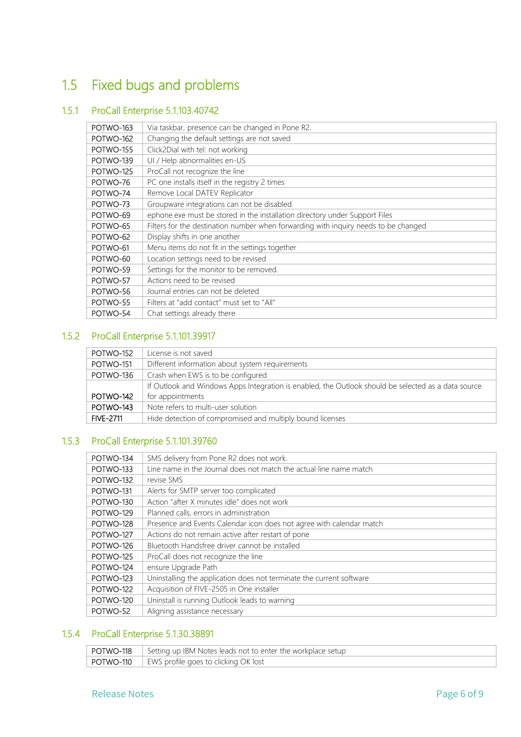## <span id="page-5-0"></span>1.5 Fixed bugs and problems

#### <span id="page-5-1"></span>1.5.1 ProCall Enterprise 5.1.103.40742

| POTWO-163 | Via taskbar, presence can be changed in Pone R2.                                    |
|-----------|-------------------------------------------------------------------------------------|
| POTWO-162 | Changing the default settings are not saved                                         |
| POTWO-155 | Click2Dial with tel: not working                                                    |
| POTWO-139 | UI / Help abnormalities en-US                                                       |
| POTWO-125 | ProCall not recognize the line                                                      |
| POTWO-76  | PC one installs itself in the registry 2 times                                      |
| POTWO-74  | Remove Local DATEV Replicator                                                       |
| POTWO-73  | Groupware integrations can not be disabled                                          |
| POTWO-69  | ephone.exe must be stored in the installation directory under Support Files         |
| POTWO-65  | Filters for the destination number when forwarding with inquiry needs to be changed |
| POTWO-62  | Display shifts in one another                                                       |
| POTWO-61  | Menu items do not fit in the settings together                                      |
| POTWO-60  | Location settings need to be revised                                                |
| POTWO-59  | Settings for the monitor to be removed.                                             |
| POTWO-57  | Actions need to be revised                                                          |
| POTWO-56  | Journal entries can not be deleted                                                  |
| POTWO-55  | Filters at "add contact" must set to "All"                                          |
| POTWO-54  | Chat settings already there                                                         |
|           |                                                                                     |

#### <span id="page-5-2"></span>1.5.2 ProCall Enterprise 5.1.101.39917

| POTWO-152        | License is not saved                                                                                |
|------------------|-----------------------------------------------------------------------------------------------------|
| POTWO-151        | Different information about system requirements                                                     |
| POTWO-136        | Crash when EWS is to be configured                                                                  |
|                  | If Outlook and Windows Apps Integration is enabled, the Outlook should be selected as a data source |
| POTWO-142        | for appointments                                                                                    |
| POTWO-143        | Note refers to multi-user solution                                                                  |
| <b>FIVE-2711</b> | Hide detection of compromised and multiply bound licenses                                           |

#### <span id="page-5-3"></span>1.5.3 ProCall Enterprise 5.1.101.39760

| POTWO-134<br>SMS delivery from Pone R2 does not work.<br>Line name in the Journal does not match the actual line name match<br>POTWO-133<br>POTWO-132<br>revise SMS<br>POTWO-131<br>Alerts for SMTP server too complicated |
|----------------------------------------------------------------------------------------------------------------------------------------------------------------------------------------------------------------------------|
|                                                                                                                                                                                                                            |
|                                                                                                                                                                                                                            |
|                                                                                                                                                                                                                            |
|                                                                                                                                                                                                                            |
| Action "after X minutes idle" does not work<br>POTWO-130                                                                                                                                                                   |
| POTWO-129<br>Planned calls, errors in administration                                                                                                                                                                       |
| POTWO-128<br>Presence and Events Calendar icon does not agree with calendar match                                                                                                                                          |
| POTWO-127<br>Actions do not remain active after restart of pone                                                                                                                                                            |
| Bluetooth Handsfree driver cannot be installed<br>POTWO-126                                                                                                                                                                |
| POTWO-125<br>ProCall does not recognize the line                                                                                                                                                                           |
| POTWO-124<br>ensure Upgrade Path                                                                                                                                                                                           |
| POTWO-123<br>Uninstalling the application does not terminate the current software                                                                                                                                          |
| Acquisition of FIVE-2505 in One installer<br>POTWO-122                                                                                                                                                                     |
| Uninstall is running Outlook leads to warning<br>POTWO-120                                                                                                                                                                 |
| POTWO-52<br>Aligning assistance necessary                                                                                                                                                                                  |

#### <span id="page-5-4"></span>1.5.4 ProCall Enterprise 5.1.30.38891

| <b>POTWO-118</b> Setting up IBM Notes leads not to enter the workplace setup |
|------------------------------------------------------------------------------|
| <b>POTWO-110</b>   EWS profile goes to clicking OK lost                      |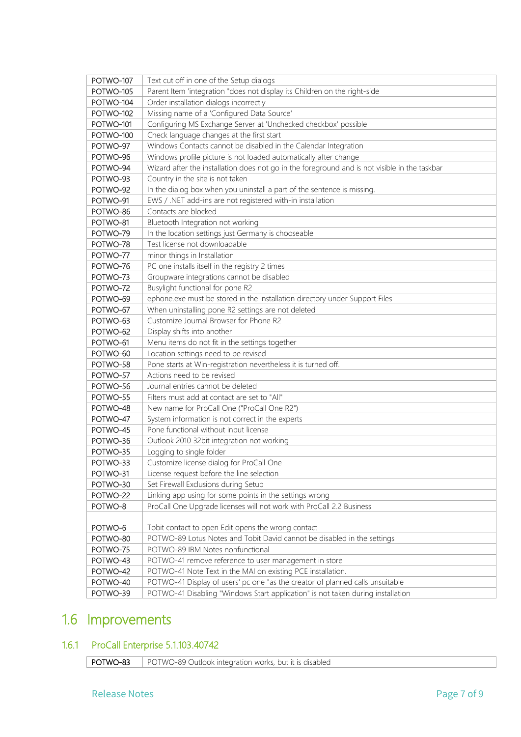| POTWO-107 | Text cut off in one of the Setup dialogs                                                      |
|-----------|-----------------------------------------------------------------------------------------------|
| POTWO-105 | Parent Item 'integration "does not display its Children on the right-side                     |
| POTWO-104 | Order installation dialogs incorrectly                                                        |
| POTWO-102 | Missing name of a 'Configured Data Source'                                                    |
| POTWO-101 | Configuring MS Exchange Server at 'Unchecked checkbox' possible                               |
| POTWO-100 | Check language changes at the first start                                                     |
| POTWO-97  | Windows Contacts cannot be disabled in the Calendar Integration                               |
| POTWO-96  | Windows profile picture is not loaded automatically after change                              |
| POTWO-94  | Wizard after the installation does not go in the foreground and is not visible in the taskbar |
| POTWO-93  | Country in the site is not taken                                                              |
| POTWO-92  | In the dialog box when you uninstall a part of the sentence is missing.                       |
| POTWO-91  | EWS / .NET add-ins are not registered with-in installation                                    |
| POTWO-86  | Contacts are blocked                                                                          |
| POTWO-81  | Bluetooth Integration not working                                                             |
| POTWO-79  | In the location settings just Germany is chooseable                                           |
| POTWO-78  | Test license not downloadable                                                                 |
| POTWO-77  | minor things in Installation                                                                  |
| POTWO-76  | PC one installs itself in the registry 2 times                                                |
| POTWO-73  | Groupware integrations cannot be disabled                                                     |
| POTWO-72  | Busylight functional for pone R2                                                              |
| POTWO-69  | ephone.exe must be stored in the installation directory under Support Files                   |
| POTWO-67  | When uninstalling pone R2 settings are not deleted                                            |
| POTWO-63  | Customize Journal Browser for Phone R2                                                        |
| POTWO-62  | Display shifts into another                                                                   |
| POTWO-61  | Menu items do not fit in the settings together                                                |
| POTWO-60  | Location settings need to be revised                                                          |
| POTWO-58  | Pone starts at Win-registration nevertheless it is turned off.                                |
| POTWO-57  | Actions need to be revised                                                                    |
| POTWO-56  | Journal entries cannot be deleted                                                             |
| POTWO-55  | Filters must add at contact are set to "All"                                                  |
| POTWO-48  | New name for ProCall One ("ProCall One R2")                                                   |
| POTWO-47  | System information is not correct in the experts                                              |
| POTWO-45  | Pone functional without input license                                                         |
| POTWO-36  | Outlook 2010 32bit integration not working                                                    |
| POTWO-35  | Logging to single folder                                                                      |
| POTWO-33  | Customize license dialog for ProCall One                                                      |
| POTWO-31  | License request before the line selection                                                     |
| POTWO-30  | Set Firewall Exclusions during Setup                                                          |
| POTWO-22  | Linking app using for some points in the settings wrong                                       |
| POTWO-8   | ProCall One Upgrade licenses will not work with ProCall 2.2 Business                          |
|           |                                                                                               |
| POTWO-6   | Tobit contact to open Edit opens the wrong contact                                            |
| POTWO-80  | POTWO-89 Lotus Notes and Tobit David cannot be disabled in the settings                       |
| POTWO-75  | POTWO-89 IBM Notes nonfunctional                                                              |
| POTWO-43  | POTWO-41 remove reference to user management in store                                         |
| POTWO-42  | POTWO-41 Note Text in the MAI on existing PCE installation.                                   |
| POTWO-40  | POTWO-41 Display of users' pc one "as the creator of planned calls unsuitable                 |
| POTWO-39  | POTWO-41 Disabling "Windows Start application" is not taken during installation               |

## <span id="page-6-0"></span>1.6 Improvements

## <span id="page-6-1"></span>1.6.1 ProCall Enterprise 5.1.103.40742

POTWO-83 POTWO-89 Outlook integration works, but it is disabled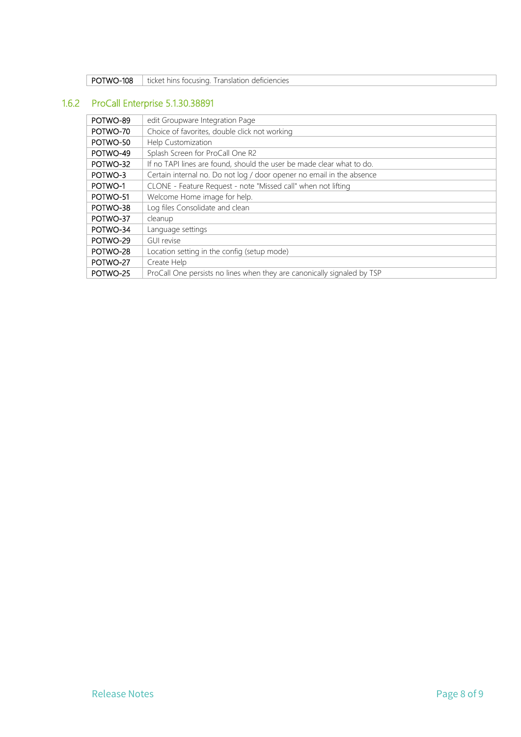| POTWO-108<br>ticket hins focusing. Translation deficiencies |
|-------------------------------------------------------------|
|-------------------------------------------------------------|

### <span id="page-7-0"></span>1.6.2 ProCall Enterprise 5.1.30.38891

| POTWO-89 | edit Groupware Integration Page                                         |
|----------|-------------------------------------------------------------------------|
| POTWO-70 | Choice of favorites, double click not working                           |
| POTWO-50 | Help Customization                                                      |
| POTWO-49 | Splash Screen for ProCall One R2                                        |
| POTWO-32 | If no TAPI lines are found, should the user be made clear what to do.   |
| POTWO-3  | Certain internal no. Do not log / door opener no email in the absence   |
| POTWO-1  | CLONE - Feature Request - note "Missed call" when not lifting           |
| POTWO-51 | Welcome Home image for help.                                            |
| POTWO-38 | Log files Consolidate and clean                                         |
| POTWO-37 | cleanup                                                                 |
| POTWO-34 | Language settings                                                       |
| POTWO-29 | <b>GUI revise</b>                                                       |
| POTWO-28 | Location setting in the config (setup mode)                             |
| POTWO-27 | Create Help                                                             |
| POTWO-25 | ProCall One persists no lines when they are canonically signaled by TSP |